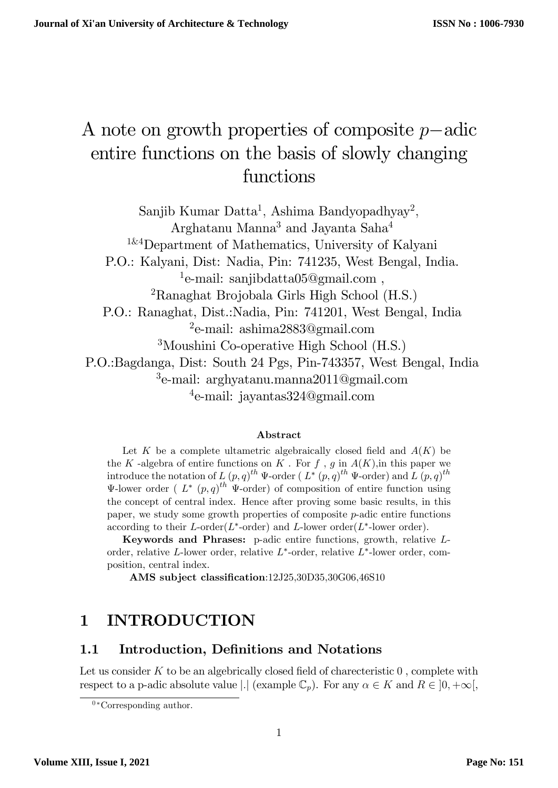# A note on growth properties of composite  $p$ -adic entire functions on the basis of slowly changing functions

Sanjib Kumar Datta<sup>1</sup>, Ashima Bandyopadhyay<sup>2</sup>, Arghatanu Manna<sup>3</sup> and Jayanta Saha<sup>4</sup>

1&4Department of Mathematics, University of Kalyani

P.O.: Kalyani, Dist: Nadia, Pin: 741235, West Bengal, India.

<sup>1</sup>e-mail: sanjibdatta05@gmail.com,

<sup>2</sup>Ranaghat Brojobala Girls High School (H.S.)

P.O.: Ranaghat, Dist.:Nadia, Pin: 741201, West Bengal, India 2 e-mail: ashima2883@gmail.com

<sup>3</sup>Moushini Co-operative High School (H.S.)

P.O.:Bagdanga, Dist: South 24 Pgs, Pin-743357, West Bengal, India  $^3$ e-mail: arghyatanu.manna $2011$ @gmail.com

4 e-mail: jayantas324@gmail.com

#### Abstract

Let K be a complete ultametric algebraically closed field and  $A(K)$  be the K -algebra of entire functions on K. For f, g in  $A(K)$ , in this paper we introduce the notation of L  $(p,q)^{th}$   $\Psi$ -order (L<sup>\*</sup>  $(p,q)^{th}$   $\Psi$ -order) and L  $(p,q)^{th}$  $\Psi$ -lower order (  $L^*$  (p, q)<sup>th</sup>  $\Psi$ -order) of composition of entire function using the concept of central index. Hence after proving some basic results, in this paper, we study some growth properties of composite  $p$ -adic entire functions according to their L-order $(L^*$ -order) and L-lower order $(L^*$ -lower order).

Keywords and Phrases: p-adic entire functions, growth, relative Lorder, relative L-lower order, relative  $L^*$ -order, relative  $L^*$ -lower order, composition, central index.

AMS subject classification:12J25,30D35,30G06,46S10

# 1 INTRODUCTION

### 1.1 Introduction, Definitions and Notations

Let us consider  $K$  to be an algebrically closed field of charecteristic  $0$ , complete with respect to a p-adic absolute value |  $|$  (example  $\mathbb{C}_p$ ). For any  $\alpha \in K$  and  $R \in ]0, +\infty[$ ,

 $0*Corresponding author.$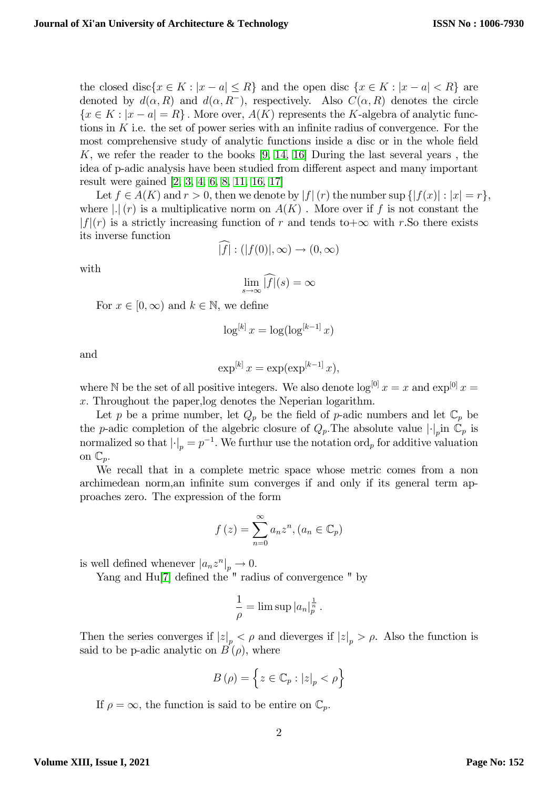the closed disc $\{x \in K : |x - a| \leq R\}$  and the open disc  $\{x \in K : |x - a| < R\}$  are denoted by  $d(\alpha, R)$  and  $d(\alpha, R^-)$ , respectively. Also  $C(\alpha, R)$  denotes the circle  ${x \in K : |x - a| = R}$ . More over,  $A(K)$  represents the K-algebra of analytic functions in K i.e. the set of power series with an infinite radius of convergence. For the most comprehensive study of analytic functions inside a disc or in the whole field K, we refer the reader to the books  $[9, 14, 16]$  $[9, 14, 16]$  $[9, 14, 16]$  During the last several years, the idea of p-adic analysis have been studied from different aspect and many important result were gained [\[2,](#page-15-2) [3,](#page-15-3) [4,](#page-15-4) [6,](#page-15-5) [8,](#page-15-6) [11,](#page-15-7) [16,](#page-16-0) [17\]](#page-16-1)

Let  $f \in A(K)$  and  $r > 0$ , then we denote by  $|f|(r)$  the number sup  $\{|f(x)| : |x| = r\},$ where  $|.|(r)$  is a multiplicative norm on  $A(K)$ . More over if f is not constant the  $|f|(r)$  is a strictly increasing function of r and tends to  $+\infty$  with r.So there exists its inverse function

$$
|f|: (|f(0)|, \infty) \to (0, \infty)
$$

with

$$
\lim_{s \to \infty} \widehat{|f|}(s) = \infty
$$

For  $x \in [0,\infty)$  and  $k \in \mathbb{N}$ , we define

$$
\log^{[k]} x = \log(\log^{[k-1]} x)
$$

and

$$
\exp^{[k]} x = \exp(\exp^{[k-1]} x),
$$

where N be the set of all positive integers. We also denote  $\log^{[0]} x = x$  and  $\exp^{[0]} x =$ x: Throughout the paper,log denotes the Neperian logarithm.

Let p be a prime number, let  $Q_p$  be the field of p-adic numbers and let  $\mathbb{C}_p$  be the p-adic completion of the algebric closure of  $Q_p$ . The absolute value  $|\cdot|_p$  in  $\mathbb{C}_p$  is normalized so that  $\left| \cdot \right|_p = p^{-1}$ . We furthur use the notation ord<sub>p</sub> for additive valuation on  $\mathbb{C}_p$ .

We recall that in a complete metric space whose metric comes from a non archimedean norm, an infinite sum converges if and only if its general term approaches zero. The expression of the form

$$
f(z) = \sum_{n=0}^{\infty} a_n z^n, (a_n \in \mathbb{C}_p)
$$

is well defined whenever  $|a_n z^n|_p \to 0$ .

Yang and  $Hu[7]$  $Hu[7]$  defined the  $"$  radius of convergence  $"$  by

$$
\frac{1}{\rho} = \limsup |a_n|^{\frac{1}{n}}_p.
$$

Then the series converges if  $|z|_p < \rho$  and dieverges if  $|z|_p > \rho$ . Also the function is said to be p-adic analytic on  $B(\rho)$ , where

$$
B(\rho) = \left\{ z \in \mathbb{C}_p : |z|_p < \rho \right\}
$$

If  $\rho = \infty$ , the function is said to be entire on  $\mathbb{C}_p$ .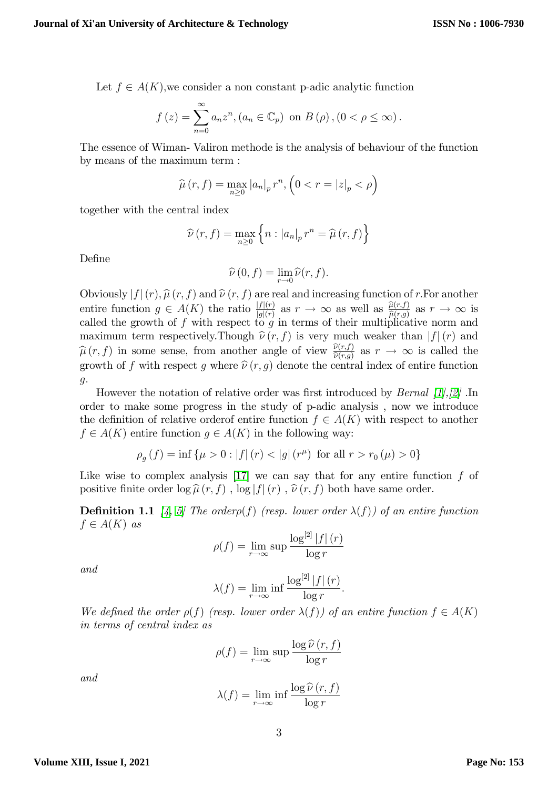Let  $f \in A(K)$ , we consider a non constant p-adic analytic function

$$
f(z) = \sum_{n=0}^{\infty} a_n z^n, (a_n \in \mathbb{C}_p) \text{ on } B(\rho), (0 < \rho \leq \infty).
$$

The essence of Wiman- Valiron methode is the analysis of behaviour of the function by means of the maximum term :

$$
\widehat{\mu}(r,f) = \max_{n \ge 0} |a_n|_p r^n, \left(0 < r = |z|_p < \rho\right)
$$

together with the central index

$$
\widehat{\nu}(r,f) = \max_{n \ge 0} \left\{ n : |a_n|_p r^n = \widehat{\mu}(r,f) \right\}
$$

DeÖne

$$
\widehat{\nu}(0,f) = \lim_{r \to 0} \widehat{\nu}(r,f).
$$

Obviously  $|f|(r)$ ,  $\hat{\mu}(r, f)$  and  $\hat{\nu}(r, f)$  are real and increasing function of r. For another entire function  $g \in A(K)$  the ratio  $\frac{|f|(r)}{|g|(r)}$  as  $r \to \infty$  as well as  $\frac{\hat{\mu}(r,f)}{\hat{\mu}(r,g)}$  as  $r \to \infty$  is called the growth of f with respect to g in terms of their multiplicative norm and maximum term respectively. Though  $\hat{\nu}(r, f)$  is very much weaker than  $|f|(r)$  and  $\widehat{\mu}(r, f)$  in some sense, from another angle of view  $\frac{\widehat{\nu}(r,f)}{\widehat{\nu}(r,g)}$  as  $r \to \infty$  is called the growth of f with respect g where  $\hat{\nu}(r, g)$  denote the central index of entire function g:

However the notation of relative order was first introduced by *Bernal [\[1\]](#page-15-9),[\[2\]](#page-15-2)*. In order to make some progress in the study of p-adic analysis , now we introduce the definition of relative order of entire function  $f \in A(K)$  with respect to another  $f \in A(K)$  entire function  $g \in A(K)$  in the following way:

$$
\rho_g(f) = \inf \{ \mu > 0 : |f| (r) < |g| (r^{\mu}) \text{ for all } r > r_0(\mu) > 0 \}
$$

Like wise to complex analysis  $[17]$  we can say that for any entire function f of positive finite order  $\log \widehat{\mu}(r, f)$ ,  $\log |f|(r)$ ,  $\widehat{\nu}(r, f)$  both have same order.

**Definition 1.1** [\[4,](#page-15-4) [5\]](#page-15-10) The order $p(f)$  (resp. lower order  $\lambda(f)$ ) of an entire function  $f \in A(K)$  as

$$
\rho(f) = \lim_{r \to \infty} \sup \frac{\log^{[2]} |f| (r)}{\log r}
$$

and

$$
\lambda(f) = \lim_{r \to \infty} \inf \frac{\log^{[2]} |f| (r)}{\log r}.
$$

We defined the order  $\rho(f)$  (resp. lower order  $\lambda(f)$ ) of an entire function  $f \in A(K)$ in terms of central index as

$$
\rho(f) = \lim_{r \to \infty} \sup \frac{\log \widehat{\nu}(r, f)}{\log r}
$$

and

$$
\lambda(f) = \lim_{r \to \infty} \inf \frac{\log \widehat{\nu}(r, f)}{\log r}
$$

3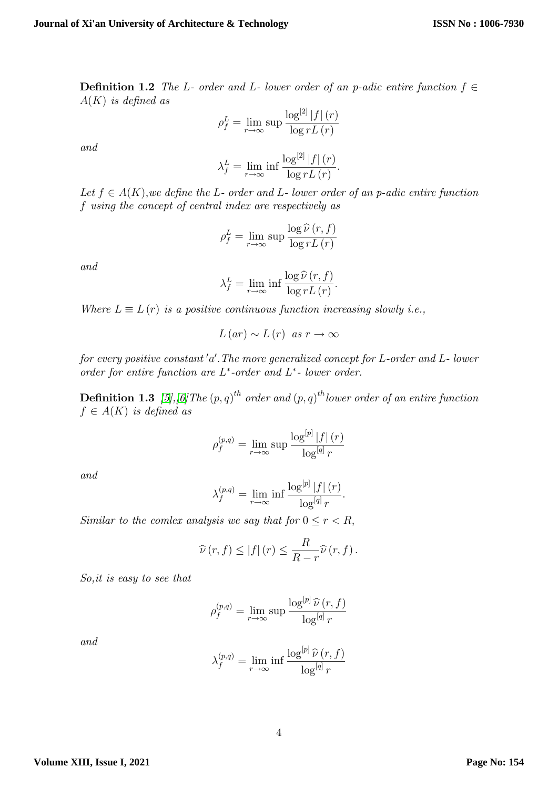**Definition 1.2** The L- order and L- lower order of an p-adic entire function  $f \in$  $A(K)$  is defined as

$$
\rho_f^L = \lim_{r \to \infty} \sup \frac{\log^{[2]} |f| (r)}{\log r L (r)}
$$

and

$$
\lambda_f^L = \lim_{r \to \infty} \inf \frac{\log^{[2]} |f| (r)}{\log r L (r)}.
$$

Let  $f \in A(K)$ , we define the L- order and L- lower order of an p-adic entire function f using the concept of central index are respectively as

$$
\rho_f^L = \lim_{r \to \infty} \sup \frac{\log \widehat{\nu}(r, f)}{\log r L(r)}
$$

and

$$
\lambda_f^L = \lim_{r \to \infty} \inf \frac{\log \widehat{\nu}(r, f)}{\log r L(r)}.
$$

Where  $L \equiv L(r)$  is a positive continuous function increasing slowly i.e.,

$$
L(ar) \sim L(r)
$$
 as  $r \to \infty$ 

for every positive constant'a'. The more generalized concept for  $L$ -order and  $L$ - lower order for entire function are  $L^*$ -order and  $L^*$ - lower order.

**Definition 1.3** [\[5\]](#page-15-10), [\[6\]](#page-15-5) The  $(p, q)^{th}$  order and  $(p, q)^{th}$  lower order of an entire function  $f \in A(K)$  is defined as

$$
\rho_f^{(p,q)} = \lim_{r \to \infty} \sup \frac{\log^{[p]} |f| (r)}{\log^{[q]} r}
$$

and

$$
\lambda_f^{(p,q)} = \lim_{r \to \infty} \inf \frac{\log^{[p]} |f| (r)}{\log^{[q]} r}.
$$

Similar to the comlex analysis we say that for  $0 \le r < R$ ,

$$
\widehat{\nu}(r,f) \le |f| (r) \le \frac{R}{R-r} \widehat{\nu}(r,f).
$$

So,it is easy to see that

$$
\rho_f^{(p,q)} = \lim_{r \to \infty} \sup \frac{\log^{[p]} \widehat{\nu}(r,f)}{\log^{[q]} r}
$$

and

$$
\lambda_f^{(p,q)} = \lim_{r \to \infty} \inf \frac{\log^{[p]} \widehat{\nu}(r,f)}{\log^{[q]} r}
$$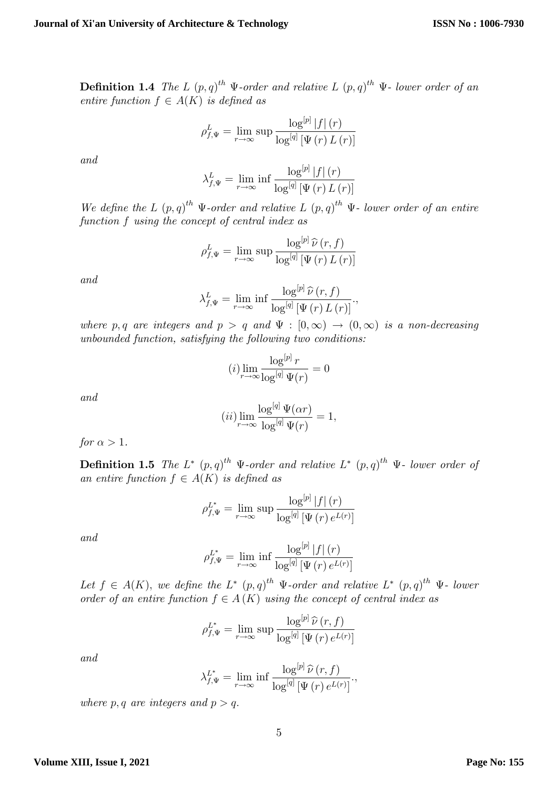**Definition 1.4** The L  $(p,q)^{th}$   $\Psi$ -order and relative L  $(p,q)^{th}$   $\Psi$ -lower order of an entire function  $f \in A(K)$  is defined as

$$
\rho_{f,\Psi}^{L} = \lim_{r \to \infty} \sup \frac{\log^{[p]} |f| (r)}{\log^{[q]} [\Psi (r) L (r)]}
$$

and

$$
\lambda_{f,\Psi}^{L} = \lim_{r \to \infty} \inf \frac{\log^{[p]} |f| (r)}{\log^{[q]} [\Psi (r) L (r)]}
$$

We define the L  $(p,q)^{th}$   $\Psi$ -order and relative L  $(p,q)^{th}$   $\Psi$ -lower order of an entire function f using the concept of central index as

$$
\rho_{f,\Psi}^{L} = \lim_{r \to \infty} \sup \frac{\log^{[p]} \widehat{\nu}(r,f)}{\log^{[q]} [\Psi(r) L(r)]}
$$

and

$$
\lambda_{f,\Psi}^{L} = \lim_{r \to \infty} \inf \frac{\log^{[p]} \widehat{\nu}(r,f)}{\log^{[q]} [\Psi(r) L(r)]},
$$

where p, q are integers and  $p > q$  and  $\Psi : [0,\infty) \to (0,\infty)$  is a non-decreasing unbounded function, satisfying the following two conditions:

$$
(i)\lim_{r\to\infty}\frac{\log^{[p]}r}{\log^{[q]}\Psi(r)}=0
$$

and

$$
(ii) \lim_{r \to \infty} \frac{\log^{[q]} \Psi(\alpha r)}{\log^{[q]} \Psi(r)} = 1,
$$

for  $\alpha > 1$ .

**Definition 1.5** The L<sup>\*</sup>  $(p,q)^{th}$   $\Psi$ -order and relative L<sup>\*</sup>  $(p,q)^{th}$   $\Psi$ - lower order of an entire function  $f \in A(K)$  is defined as

$$
\rho_{f,\Psi}^{L^*} = \lim_{r \to \infty} \sup \frac{\log^{[p]} |f| (r)}{\log^{[q]} [\Psi (r) e^{L(r)}]}
$$

and

$$
\rho_{f,\Psi}^{L^*} = \lim_{r \to \infty} \inf \frac{\log^{[p]} |f| (r)}{\log^{[q]} [\Psi (r) e^{L(r)}]}
$$

Let  $f \in A(K)$ , we define the  $L^* (p,q)^{th} \Psi$ -order and relative  $L^* (p,q)^{th} \Psi$ - lower order of an entire function  $f \in A(K)$  using the concept of central index as

$$
\rho_{f,\Psi}^{L^*} = \lim_{r \to \infty} \sup \frac{\log^{[p]} \widehat{\nu}(r,f)}{\log^{[q]} [\Psi(r) e^{L(r)}]}
$$

and

$$
\lambda_{f,\Psi}^{L^*} = \lim_{r \to \infty} \inf \frac{\log^{[p]} \widehat{\nu}(r,f)}{\log^{[q]} [\Psi(r) e^{L(r)}]}.
$$

where p, q are integers and  $p > q$ .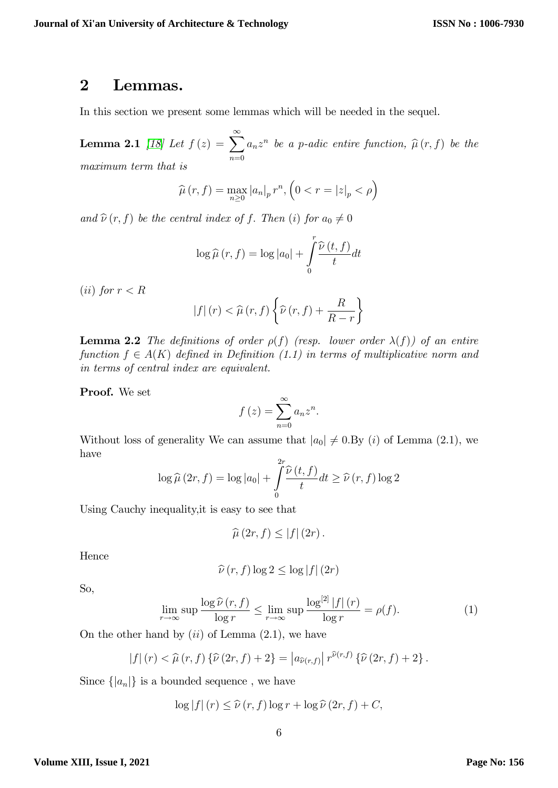### 2 Lemmas.

In this section we present some lemmas which will be needed in the sequel.

Lemma 2.1 [\[18\]](#page-16-2) Let  $f\left(z\right) = \sum_{n=1}^{\infty}$  $n=0$  $a_n z^n$  be a p-adic entire function,  $\widehat{\mu}(r, f)$  be the maximum term that is

$$
\widehat{\mu}(r,f) = \max_{n \ge 0} |a_n|_p r^n, \left(0 < r = |z|_p < \rho\right)
$$

and  $\hat{\nu}(r, f)$  be the central index of f. Then (i) for  $a_0 \neq 0$ 

$$
\log \widehat{\mu}(r, f) = \log |a_0| + \int_0^r \frac{\widehat{\nu}(t, f)}{t} dt
$$

(*ii*) for  $r < R$ 

$$
|f| (r) < \widehat{\mu} (r, f) \left\{ \widehat{\nu} (r, f) + \frac{R}{R - r} \right\}
$$

**Lemma 2.2** The definitions of order  $\rho(f)$  (resp. lower order  $\lambda(f)$ ) of an entire function  $f \in A(K)$  defined in Definition (1.1) in terms of multiplicative norm and in terms of central index are equivalent.

Proof. We set

$$
f(z) = \sum_{n=0}^{\infty} a_n z^n.
$$

Without loss of generality We can assume that  $|a_0| \neq 0.$  By (i) of Lemma (2.1), we have

$$
\log \widehat{\mu}\left(2r, f\right) = \log |a_0| + \int_{0}^{2r} \frac{\widehat{\nu}\left(t, f\right)}{t} dt \ge \widehat{\nu}\left(r, f\right) \log 2
$$

Using Cauchy inequality,it is easy to see that

$$
\widehat{\mu}\left(2r,f\right)\leq\left|f\right|\left(2r\right).
$$

Hence

$$
\widehat{\nu}(r,f)\log 2 \leq \log|f| \,(2r)
$$

So,

$$
\lim_{r \to \infty} \sup \frac{\log \widehat{\nu}(r, f)}{\log r} \le \lim_{r \to \infty} \sup \frac{\log^{[2]} |f| (r)}{\log r} = \rho(f). \tag{1}
$$

On the other hand by  $(ii)$  of Lemma  $(2.1)$ , we have

$$
|f|(r) < \widehat{\mu}(r, f) \left\{ \widehat{\nu}(2r, f) + 2 \right\} = |a_{\widehat{\nu}(r, f)}| r^{\widehat{\nu}(r, f)} \left\{ \widehat{\nu}(2r, f) + 2 \right\}.
$$

Since  $\{|a_n|\}$  is a bounded sequence, we have

$$
\log |f| (r) \leq \widehat{\nu} (r, f) \log r + \log \widehat{\nu} (2r, f) + C,
$$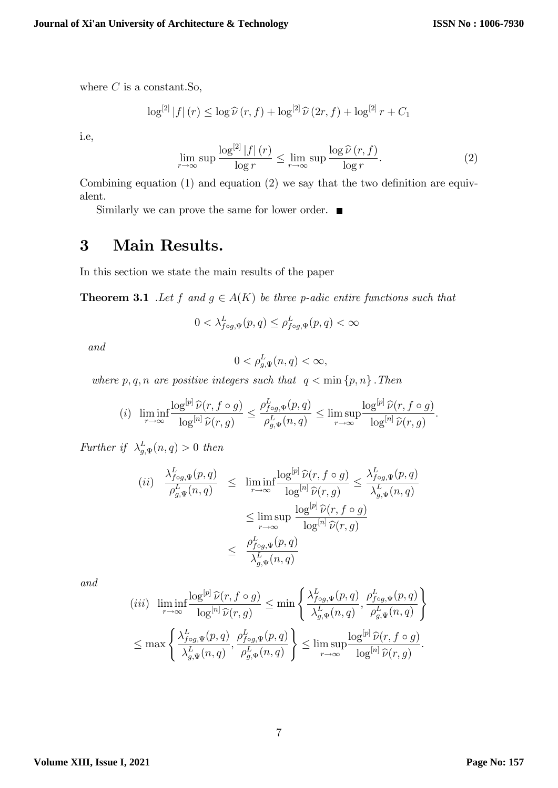where  $C$  is a constant. So,

$$
\log^{[2]}|f|(r) \leq \log \widehat{\nu}(r,f) + \log^{[2]} \widehat{\nu}(2r,f) + \log^{[2]} r + C_1
$$

i.e,

$$
\lim_{r \to \infty} \sup \frac{\log^{[2]} |f| (r)}{\log r} \le \lim_{r \to \infty} \sup \frac{\log \widehat{\nu} (r, f)}{\log r}.
$$
 (2)

Combining equation  $(1)$  and equation  $(2)$  we say that the two definition are equivalent.

Similarly we can prove the same for lower order.  $\blacksquare$ 

# 3 Main Results.

In this section we state the main results of the paper

**Theorem 3.1** .Let f and  $g \in A(K)$  be three p-adic entire functions such that

$$
0 < \lambda_{f \circ g, \Psi}^{L}(p, q) \le \rho_{f \circ g, \Psi}^{L}(p, q) < \infty
$$

and

$$
0 < \rho^L_{g,\Psi}(n,q) < \infty
$$

where  $p, q, n$  are positive integers such that  $q < \min\{p, n\}$ . Then

$$
(i) \ \liminf_{r \to \infty} \frac{\log^{[p]} \widehat{\nu}(r, f \circ g)}{\log^{[n]} \widehat{\nu}(r, g)} \leq \frac{\rho_{f \circ g, \Psi}^{L}(p, q)}{\rho_{g, \Psi}^{L}(n, q)} \leq \limsup_{r \to \infty} \frac{\log^{[p]} \widehat{\nu}(r, f \circ g)}{\log^{[n]} \widehat{\nu}(r, g)}.
$$

Further if  $\lambda_{g,\Psi}^L(n,q) > 0$  then

$$
(ii) \frac{\lambda_{f \circ g, \Psi}^{L}(p, q)}{\rho_{g, \Psi}^{L}(n, q)} \leq \liminf_{r \to \infty} \frac{\log^{[p]} \widehat{\nu}(r, f \circ g)}{\log^{[n]} \widehat{\nu}(r, g)} \leq \frac{\lambda_{f \circ g, \Psi}^{L}(p, q)}{\lambda_{g, \Psi}^{L}(n, q)}
$$

$$
\leq \limsup_{r \to \infty} \frac{\log^{[p]} \widehat{\nu}(r, f \circ g)}{\log^{[n]} \widehat{\nu}(r, g)}
$$

$$
\leq \frac{\rho_{f \circ g, \Psi}^{L}(p, q)}{\lambda_{g, \Psi}^{L}(n, q)}
$$

and

$$
(iii) \liminf_{r \to \infty} \frac{\log^{[p]} \widehat{\nu}(r, f \circ g)}{\log^{[n]} \widehat{\nu}(r, g)} \le \min \left\{ \frac{\lambda_{f \circ g, \Psi}^{L}(p, q)}{\lambda_{g, \Psi}^{L}(n, q)}, \frac{\rho_{f \circ g, \Psi}^{L}(p, q)}{\rho_{g, \Psi}^{L}(n, q)} \right\}
$$

$$
\le \max \left\{ \frac{\lambda_{f \circ g, \Psi}^{L}(p, q)}{\lambda_{g, \Psi}^{L}(n, q)}, \frac{\rho_{f \circ g, \Psi}^{L}(p, q)}{\rho_{g, \Psi}^{L}(n, q)} \right\} \le \limsup_{r \to \infty} \frac{\log^{[p]} \widehat{\nu}(r, f \circ g)}{\log^{[n]} \widehat{\nu}(r, g)}.
$$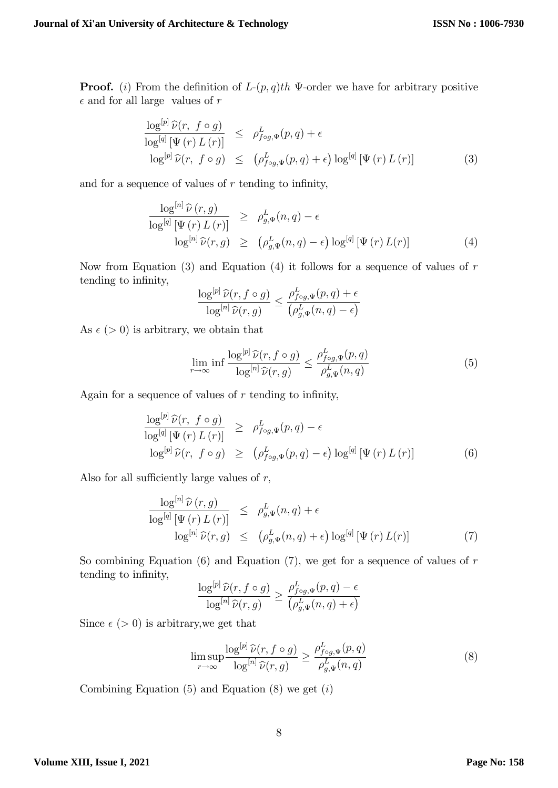**Proof.** (i) From the definition of  $L-(p,q)$ th  $\Psi$ -order we have for arbitrary positive  $\epsilon$  and for all large values of r

$$
\frac{\log^{[p]} \widehat{\nu}(r, f \circ g)}{\log^{[q]} [\Psi(r) L(r)]} \leq \rho_{f \circ g, \Psi}^{L}(p, q) + \epsilon
$$
  

$$
\log^{[p]} \widehat{\nu}(r, f \circ g) \leq (\rho_{f \circ g, \Psi}^{L}(p, q) + \epsilon) \log^{[q]} [\Psi(r) L(r)]
$$
 (3)

and for a sequence of values of  $r$  tending to infinity,

$$
\frac{\log^{[n]} \widehat{\nu}(r,g)}{\log^{[q]} [\Psi(r) L(r)]} \geq \rho_{g,\Psi}^{L}(n,q) - \epsilon
$$
  

$$
\log^{[n]} \widehat{\nu}(r,g) \geq (\rho_{g,\Psi}^{L}(n,q) - \epsilon) \log^{[q]} [\Psi(r) L(r)]
$$
 (4)

Now from Equation  $(3)$  and Equation  $(4)$  it follows for a sequence of values of r tending to infinity,

$$
\frac{\log^{[p]} \widehat{\nu}(r, f \circ g)}{\log^{[n]} \widehat{\nu}(r, g)} \leq \frac{\rho_{f \circ g, \Psi}^L(p, q) + \epsilon}{\left(\rho_{g, \Psi}^L(n, q) - \epsilon\right)}
$$

As  $\epsilon$  (> 0) is arbitrary, we obtain that

$$
\lim_{r \to \infty} \inf \frac{\log^{[p]} \widehat{\nu}(r, f \circ g)}{\log^{[n]} \widehat{\nu}(r, g)} \le \frac{\rho_{f \circ g, \Psi}^L(p, q)}{\rho_{g, \Psi}^L(n, q)} \tag{5}
$$

Again for a sequence of values of  $r$  tending to infinity,

$$
\frac{\log^{[p]} \widehat{\nu}(r, f \circ g)}{\log^{[q]} [\Psi(r) L(r)]} \geq \rho_{f \circ g, \Psi}^{L}(p, q) - \epsilon
$$
  

$$
\log^{[p]} \widehat{\nu}(r, f \circ g) \geq (\rho_{f \circ g, \Psi}^{L}(p, q) - \epsilon) \log^{[q]} [\Psi(r) L(r)]
$$
 (6)

Also for all sufficiently large values of  $r$ ,

$$
\frac{\log^{[n]} \widehat{\nu}(r,g)}{\log^{[q]} [\Psi(r) L(r)]} \leq \rho^L_{g,\Psi}(n,q) + \epsilon
$$
  

$$
\log^{[n]} \widehat{\nu}(r,g) \leq (\rho^L_{g,\Psi}(n,q) + \epsilon) \log^{[q]} [\Psi(r) L(r)] \tag{7}
$$

So combining Equation (6) and Equation (7), we get for a sequence of values of  $r$ tending to infinity,

$$
\frac{\log^{[p]} \widehat{\nu}(r, f \circ g)}{\log^{[n]} \widehat{\nu}(r, g)} \ge \frac{\rho^L_{f \circ g, \Psi}(p, q) - \epsilon}{\left(\rho^L_{g, \Psi}(n, q) + \epsilon\right)}
$$

Since  $\epsilon$  (> 0) is arbitrary, we get that

$$
\limsup_{r \to \infty} \frac{\log^{[p]} \widehat{\nu}(r, f \circ g)}{\log^{[n]} \widehat{\nu}(r, g)} \ge \frac{\rho_{f \circ g, \Psi}^L(p, q)}{\rho_{g, \Psi}^L(n, q)}\tag{8}
$$

Combining Equation  $(5)$  and Equation  $(8)$  we get  $(i)$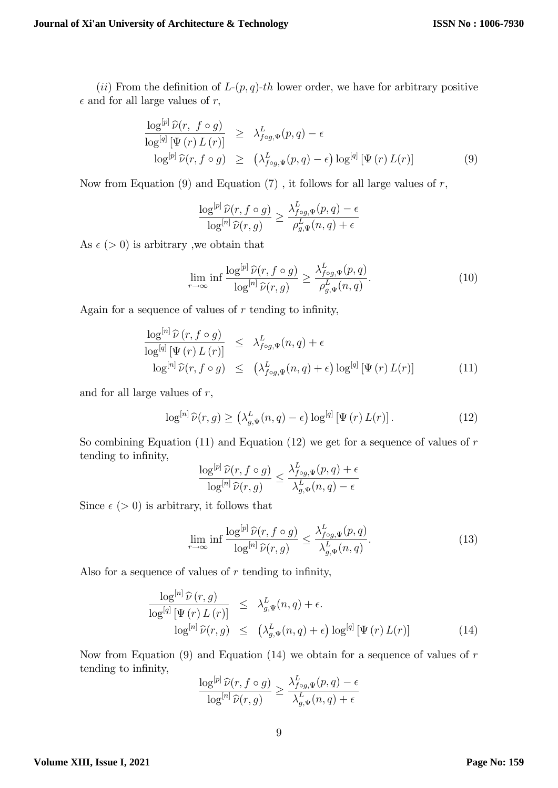(ii) From the definition of  $L-(p, q)-th$  lower order, we have for arbitrary positive  $\epsilon$  and for all large values of r,

$$
\frac{\log^{[p]} \widehat{\nu}(r, f \circ g)}{\log^{[q]} [\Psi(r) L(r)]} \geq \lambda_{f \circ g, \Psi}^{L}(p, q) - \epsilon
$$
  

$$
\log^{[p]} \widehat{\nu}(r, f \circ g) \geq (\lambda_{f \circ g, \Psi}^{L}(p, q) - \epsilon) \log^{[q]} [\Psi(r) L(r)]
$$
 (9)

Now from Equation  $(9)$  and Equation  $(7)$ , it follows for all large values of r,

$$
\frac{\log^{[p]} \widehat{\nu}(r, f \circ g)}{\log^{[n]} \widehat{\nu}(r, g)} \ge \frac{\lambda_{f \circ g, \Psi}^L(p, q) - \epsilon}{\rho_{g, \Psi}^L(n, q) + \epsilon}
$$

As  $\epsilon$  (> 0) is arbitrary, we obtain that

$$
\lim_{r \to \infty} \inf \frac{\log^{[p]} \widehat{\nu}(r, f \circ g)}{\log^{[n]} \widehat{\nu}(r, g)} \ge \frac{\lambda_{f \circ g, \Psi}^L(p, q)}{\rho_{g, \Psi}^L(n, q)}.
$$
\n(10)

Again for a sequence of values of  $r$  tending to infinity,

$$
\frac{\log^{[n]} \widehat{\nu}(r, f \circ g)}{\log^{[q]} [\Psi(r) L(r)]} \leq \lambda_{f \circ g, \Psi}^{L}(n, q) + \epsilon
$$
  

$$
\log^{[n]} \widehat{\nu}(r, f \circ g) \leq (\lambda_{f \circ g, \Psi}^{L}(n, q) + \epsilon) \log^{[q]} [\Psi(r) L(r)] \qquad (11)
$$

and for all large values of  $r$ ,

$$
\log^{[n]} \widehat{\nu}(r, g) \ge \left(\lambda_{g, \Psi}^{L}(n, q) - \epsilon\right) \log^{[q]} \left[\Psi(r) L(r)\right]. \tag{12}
$$

So combining Equation (11) and Equation (12) we get for a sequence of values of  $r$ tending to infinity,

$$
\frac{\log^{[p]} \widehat{\nu}(r, f \circ g)}{\log^{[n]} \widehat{\nu}(r, g)} \le \frac{\lambda_{f \circ g, \Psi}^L(p, q) + \epsilon}{\lambda_{g, \Psi}^L(n, q) - \epsilon}
$$

Since  $\epsilon$  ( $> 0$ ) is arbitrary, it follows that

$$
\lim_{r \to \infty} \inf \frac{\log^{[p]} \widehat{\nu}(r, f \circ g)}{\log^{[n]} \widehat{\nu}(r, g)} \le \frac{\lambda_{f \circ g, \Psi}^L(p, q)}{\lambda_{g, \Psi}^L(n, q)}.
$$
\n(13)

Also for a sequence of values of  $r$  tending to infinity,

$$
\frac{\log^{[n]} \widehat{\nu}(r,g)}{\log^{[q]} [\Psi(r) L(r)]} \leq \lambda_{g,\Psi}^{L}(n,q) + \epsilon.
$$
  

$$
\log^{[n]} \widehat{\nu}(r,g) \leq (\lambda_{g,\Psi}^{L}(n,q) + \epsilon) \log^{[q]} [\Psi(r) L(r)] \qquad (14)
$$

Now from Equation  $(9)$  and Equation  $(14)$  we obtain for a sequence of values of r tending to infinity,

$$
\frac{\log^{[p]} \widehat{\nu}(r, f \circ g)}{\log^{[n]} \widehat{\nu}(r, g)} \ge \frac{\lambda_{f \circ g, \Psi}^L(p, q) - \epsilon}{\lambda_{g, \Psi}^L(n, q) + \epsilon}
$$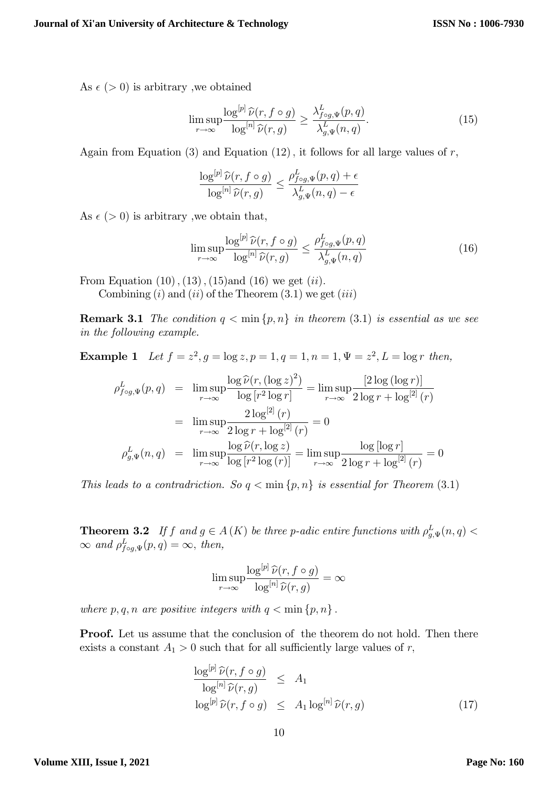As  $\epsilon$  (> 0) is arbitrary, we obtained

$$
\limsup_{r \to \infty} \frac{\log^{[p]} \widehat{\nu}(r, f \circ g)}{\log^{[n]} \widehat{\nu}(r, g)} \ge \frac{\lambda_{f \circ g, \Psi}^L(p, q)}{\lambda_{g, \Psi}^L(n, q)}.
$$
\n(15)

Again from Equation  $(3)$  and Equation  $(12)$ , it follows for all large values of r,

$$
\frac{\log^{[p]} \widehat{\nu}(r, f \circ g)}{\log^{[n]} \widehat{\nu}(r, g)} \leq \frac{\rho_{f \circ g, \Psi}^L(p, q) + \epsilon}{\lambda_{g, \Psi}^L(n, q) - \epsilon}
$$

As  $\epsilon$  (> 0) is arbitrary, we obtain that,

$$
\limsup_{r \to \infty} \frac{\log^{[p]} \widehat{\nu}(r, f \circ g)}{\log^{[n]} \widehat{\nu}(r, g)} \le \frac{\rho_{f \circ g, \Psi}^L(p, q)}{\lambda_{g, \Psi}^L(n, q)} \tag{16}
$$

From Equation  $(10)$ ,  $(13)$ ,  $(15)$ and  $(16)$  we get  $(ii)$ .

Combining  $(i)$  and  $(ii)$  of the Theorem  $(3.1)$  we get  $(iii)$ 

**Remark 3.1** The condition  $q < \min\{p, n\}$  in theorem (3.1) is essential as we see in the following example.

**Example 1** Let  $f = z^2, g = \log z, p = 1, q = 1, n = 1, \Psi = z^2, L = \log r$  then,

$$
\rho_{f \circ g, \Psi}^{L}(p, q) = \lim_{r \to \infty} \frac{\log \widehat{\nu}(r, (\log z)^{2})}{\log [r^{2} \log r]} = \lim_{r \to \infty} \frac{[2 \log (\log r)]}{2 \log r + \log^{[2]}(r)}
$$

$$
= \lim_{r \to \infty} \frac{2 \log^{[2]}(r)}{2 \log r + \log^{[2]}(r)} = 0
$$

$$
\rho_{g, \Psi}^{L}(n, q) = \lim_{r \to \infty} \frac{\log \widehat{\nu}(r, \log z)}{\log [r^{2} \log (r)]} = \lim_{r \to \infty} \frac{\log [\log r]}{2 \log r + \log^{[2]}(r)} = 0
$$

This leads to a contradriction. So  $q < \min\{p, n\}$  is essential for Theorem (3.1)

**Theorem 3.2** If f and  $g \in A(K)$  be three p-adic entire functions with  $\rho_{g,\Psi}^L(n,q)$  $\infty$  and  $\rho_{f \circ g, \Psi}^L(p, q) = \infty$ , then,

$$
\limsup_{r \to \infty} \frac{\log^{[p]} \widehat{\nu}(r, f \circ g)}{\log^{[n]} \widehat{\nu}(r, g)} = \infty
$$

where  $p, q, n$  are positive integers with  $q < \min \{p, n\}$ .

**Proof.** Let us assume that the conclusion of the theorem do not hold. Then there exists a constant  $A_1 > 0$  such that for all sufficiently large values of r,

$$
\frac{\log^{[p]} \widehat{\nu}(r, f \circ g)}{\log^{[n]} \widehat{\nu}(r, g)} \leq A_1
$$
  

$$
\log^{[p]} \widehat{\nu}(r, f \circ g) \leq A_1 \log^{[n]} \widehat{\nu}(r, g)
$$
 (17)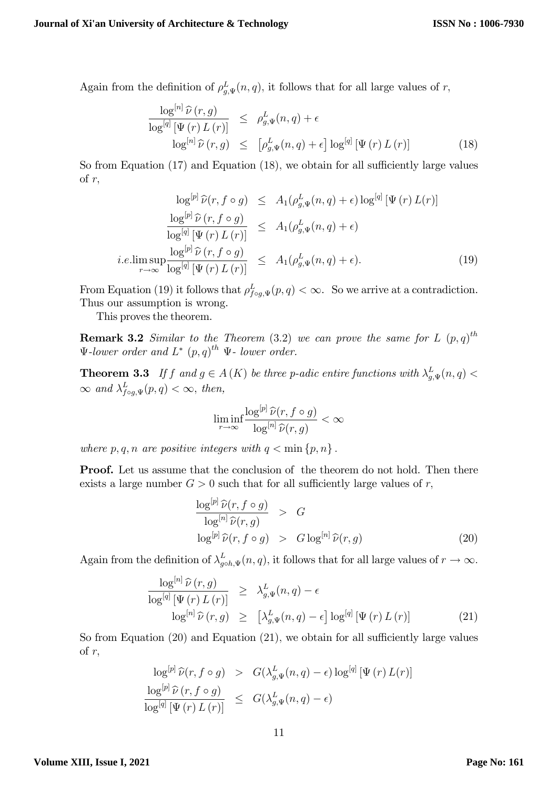Again from the definition of  $\rho_{g,\Psi}^L(n,q)$ , it follows that for all large values of r,

$$
\frac{\log^{[n]} \widehat{\nu}(r,g)}{\log^{[q]} [\Psi(r) L(r)]} \leq \rho_{g,\Psi}^{L}(n,q) + \epsilon
$$
  

$$
\log^{[n]} \widehat{\nu}(r,g) \leq [\rho_{g,\Psi}^{L}(n,q) + \epsilon] \log^{[q]} [\Psi(r) L(r)] \qquad (18)
$$

So from Equation  $(17)$  and Equation  $(18)$ , we obtain for all sufficiently large values of  $r$ ,

$$
\log^{[p]} \widehat{\nu}(r, f \circ g) \leq A_1(\rho_{g,\Psi}^L(n, q) + \epsilon) \log^{[q]} [\Psi(r) L(r)]
$$
  

$$
\frac{\log^{[p]} \widehat{\nu}(r, f \circ g)}{\log^{[q]} [\Psi(r) L(r)]} \leq A_1(\rho_{g,\Psi}^L(n, q) + \epsilon)
$$
  
*i.e.*  $\limsup_{r \to \infty} \frac{\log^{[p]} \widehat{\nu}(r, f \circ g)}{\log^{[q]} [\Psi(r) L(r)]} \leq A_1(\rho_{g,\Psi}^L(n, q) + \epsilon).$  (19)

From Equation (19) it follows that  $\rho_{f \circ g, \Psi}^L(p, q) < \infty$ . So we arrive at a contradiction. Thus our assumption is wrong.

This proves the theorem.

**Remark 3.2** Similar to the Theorem (3.2) we can prove the same for L  $(p,q)^{th}$  $\Psi$ -lower order and  $L^*$   $(p,q)^{th}$   $\Psi$ - lower order.

**Theorem 3.3** If f and  $g \in A(K)$  be three p-adic entire functions with  $\lambda_{g,\Psi}^L(n,q)$  <  $\infty$  and  $\lambda_{f \circ g, \Psi}^{L}(p, q) < \infty$ , then,

$$
\liminf_{r \to \infty} \frac{\log^{[p]} \widehat{\nu}(r, f \circ g)}{\log^{[n]} \widehat{\nu}(r, g)} < \infty
$$

where  $p, q, n$  are positive integers with  $q < \min \{p, n\}$ .

Proof. Let us assume that the conclusion of the theorem do not hold. Then there exists a large number  $G > 0$  such that for all sufficiently large values of r,

$$
\frac{\log^{[p]} \widehat{\nu}(r, f \circ g)}{\log^{[n]} \widehat{\nu}(r, g)} > G
$$
  

$$
\log^{[p]} \widehat{\nu}(r, f \circ g) > G \log^{[n]} \widehat{\nu}(r, g)
$$
 (20)

Again from the definition of  $\lambda_{g\circ h,\Psi}^L(n,q)$ , it follows that for all large values of  $r \to \infty$ .

$$
\frac{\log^{[n]} \widehat{\nu}(r,g)}{\log^{[q]} [\Psi(r) L(r)]} \geq \lambda_{g,\Psi}^{L}(n,q) - \epsilon
$$
  

$$
\log^{[n]} \widehat{\nu}(r,g) \geq [\lambda_{g,\Psi}^{L}(n,q) - \epsilon] \log^{[q]} [\Psi(r) L(r)] \qquad (21)
$$

So from Equation  $(20)$  and Equation  $(21)$ , we obtain for all sufficiently large values of  $r$ ,

$$
\log^{[p]} \widehat{\nu}(r, f \circ g) > G(\lambda_{g,\Psi}^{L}(n, q) - \epsilon) \log^{[q]} [\Psi(r) L(r)]
$$
  

$$
\frac{\log^{[p]} \widehat{\nu}(r, f \circ g)}{\log^{[q]} [\Psi(r) L(r)]} \leq G(\lambda_{g,\Psi}^{L}(n, q) - \epsilon)
$$

#### **Volume XIII, Issue I, 2021**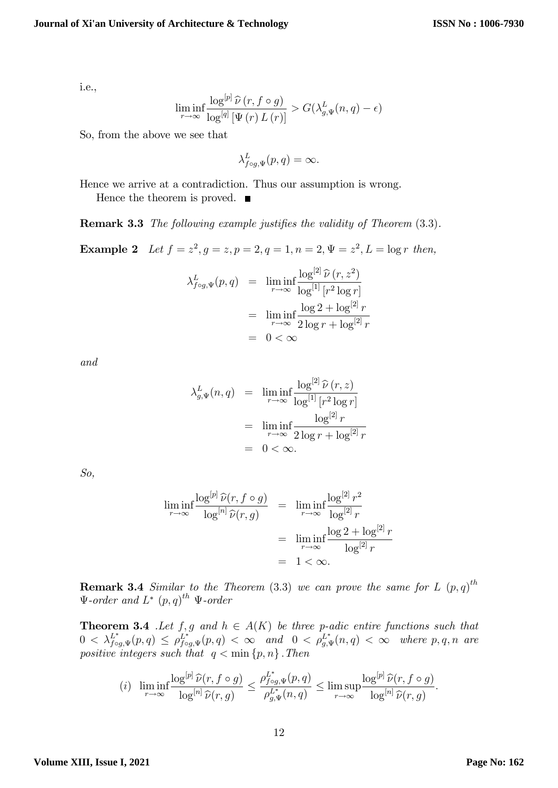i.e.,

$$
\liminf_{r \to \infty} \frac{\log^{[p]} \widehat{\nu}(r, f \circ g)}{\log^{[q]} [\Psi(r) L(r)]} > G(\lambda_{g,\Psi}^{L}(n,q) - \epsilon)
$$

So, from the above we see that

$$
\lambda_{f\circ g,\Psi}^L(p,q)=\infty.
$$

Hence we arrive at a contradiction. Thus our assumption is wrong.

Hence the theorem is proved.  $\blacksquare$ 

**Remark 3.3** The following example justifies the validity of Theorem  $(3.3)$ .

**Example 2** Let  $f = z^2, g = z, p = 2, q = 1, n = 2, \Psi = z^2, L = \log r$  then,

$$
\lambda_{f \circ g, \Psi}^{L}(p, q) = \liminf_{r \to \infty} \frac{\log^{[2]} \widehat{\nu}(r, z^{2})}{\log^{[1]} [r^{2} \log r]}
$$

$$
= \liminf_{r \to \infty} \frac{\log 2 + \log^{[2]} r}{2 \log r + \log^{[2]} r}
$$

$$
= 0 < \infty
$$

and

$$
\lambda_{g,\Psi}^L(n,q) = \liminf_{r \to \infty} \frac{\log^{[2]} \widehat{\nu}(r,z)}{\log^{[1]} [r^2 \log r]}
$$
  
= 
$$
\liminf_{r \to \infty} \frac{\log^{[2]} r}{2 \log r + \log^{[2]} r}
$$
  
= 
$$
0 < \infty.
$$

So,

$$
\liminf_{r \to \infty} \frac{\log^{[p]} \widehat{\nu}(r, f \circ g)}{\log^{[n]} \widehat{\nu}(r, g)} = \liminf_{r \to \infty} \frac{\log^{[2]} r^2}{\log^{[2]} r}
$$

$$
= \liminf_{r \to \infty} \frac{\log 2 + \log^{[2]} r}{\log^{[2]} r}
$$

$$
= 1 < \infty.
$$

**Remark 3.4** Similar to the Theorem (3.3) we can prove the same for L  $(p,q)^{th}$  $\Psi$ -order and  $L^*$   $(p,q)^{th}$   $\Psi$ -order

**Theorem 3.4** .Let  $f, g$  and  $h \in A(K)$  be three p-adic entire functions such that  $0 < \lambda_{f \circ g, \Psi}^{L^*}(p,q) \leq \rho_{f \circ g, \Psi}^{L^*}(p,q) < \infty$  and  $0 < \rho_{g, \Psi}^{L^*}(n,q) < \infty$  where  $p, q, n$  are positive integers such that  $q < \min\{p, n\}$ . Then

$$
(i) \ \liminf_{r \to \infty} \frac{\log^{[p]} \widehat{\nu}(r, f \circ g)}{\log^{[n]} \widehat{\nu}(r, g)} \leq \frac{\rho_{f \circ g, \Psi}^{L^*}(p, q)}{\rho_{g, \Psi}^{L^*}(n, q)} \leq \limsup_{r \to \infty} \frac{\log^{[p]} \widehat{\nu}(r, f \circ g)}{\log^{[n]} \widehat{\nu}(r, g)}.
$$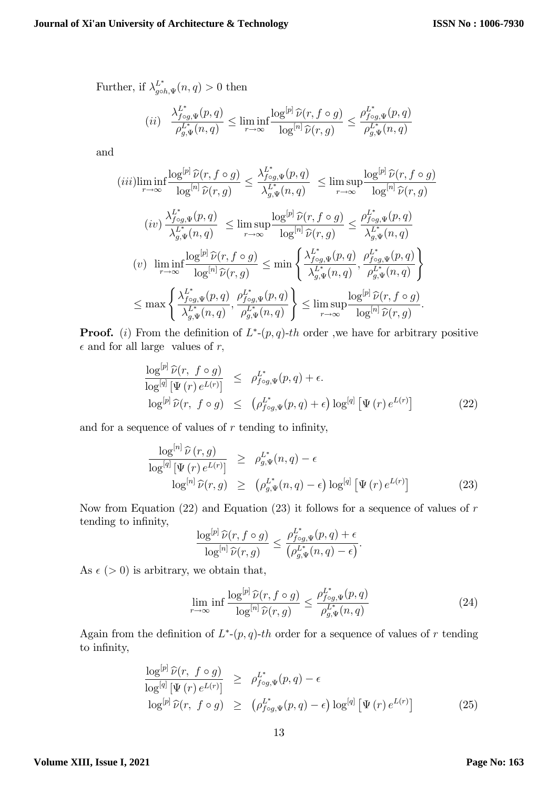Further, if  $\lambda_{g\circ h,\Psi}^{L^*}(n,q) > 0$  then

$$
(ii) \quad \frac{\lambda_{f \circ g, \Psi}^{L^*}(p, q)}{\rho_{g, \Psi}^{L^*}(n, q)} \le \liminf_{r \to \infty} \frac{\log^{[p]} \widehat{\nu}(r, f \circ g)}{\log^{[n]} \widehat{\nu}(r, g)} \le \frac{\rho_{f \circ g, \Psi}^{L^*}(p, q)}{\rho_{g, \Psi}^{L^*}(n, q)}
$$

and

$$
(iii) \liminf_{r \to \infty} \frac{\log^{[p]} \hat{\nu}(r, f \circ g)}{\log^{[n]} \hat{\nu}(r, g)} \leq \frac{\lambda_{f \circ g, \Psi}^{L^*}(p, q)}{\lambda_{g, \Psi}^{L^*}(n, q)} \leq \limsup_{r \to \infty} \frac{\log^{[p]} \hat{\nu}(r, f \circ g)}{\log^{[n]} \hat{\nu}(r, g)}
$$

$$
(iv) \frac{\lambda_{f \circ g, \Psi}^{L^*}(p, q)}{\lambda_{g, \Psi}^{L^*}(n, q)} \leq \limsup_{r \to \infty} \frac{\log^{[p]} \hat{\nu}(r, f \circ g)}{\log^{[n]} \hat{\nu}(r, g)} \leq \frac{\rho_{f \circ g, \Psi}^{L^*}(p, q)}{\lambda_{g, \Psi}^{L^*}(n, q)}
$$

$$
(v) \liminf_{r \to \infty} \frac{\log^{[p]} \hat{\nu}(r, f \circ g)}{\log^{[n]} \hat{\nu}(r, g)} \leq \min \left\{ \frac{\lambda_{f \circ g, \Psi}^{L^*}(p, q)}{\lambda_{g, \Psi}^{L^*}(n, q)}, \frac{\rho_{f \circ g, \Psi}^{L^*}(p, q)}{\rho_{g, \Psi}^{L^*}(n, q)} \right\}
$$

$$
\leq \max \left\{ \frac{\lambda_{f \circ g, \Psi}^{L^*}(p, q)}{\lambda_{g, \Psi}^{L^*}(n, q)}, \frac{\rho_{f \circ g, \Psi}^{L^*}(p, q)}{\rho_{g, \Psi}^{L^*}(n, q)} \right\} \leq \limsup_{r \to \infty} \frac{\log^{[p]} \hat{\nu}(r, f \circ g)}{\log^{[n]} \hat{\nu}(r, g)}.
$$

**Proof.** (i) From the definition of  $L^*-(p,q)$ -th order, we have for arbitrary positive  $\epsilon$  and for all large values of r,

$$
\frac{\log^{[p]} \widehat{\nu}(r, f \circ g)}{\log^{[q]} [\Psi(r) e^{L(r)}]} \leq \rho_{f \circ g, \Psi}^{L^*}(p, q) + \epsilon.
$$
  

$$
\log^{[p]} \widehat{\nu}(r, f \circ g) \leq (\rho_{f \circ g, \Psi}^{L^*}(p, q) + \epsilon) \log^{[q]} [\Psi(r) e^{L(r)}]
$$
(22)

and for a sequence of values of  $r$  tending to infinity,

$$
\frac{\log^{[n]} \widehat{\nu}(r,g)}{\log^{[q]} [\Psi(r) e^{L(r)}]} \ge \rho_{g,\Psi}^{L^*}(n,q) - \epsilon
$$
  

$$
\log^{[n]} \widehat{\nu}(r,g) \ge (\rho_{g,\Psi}^{L^*}(n,q) - \epsilon) \log^{[q]} [\Psi(r) e^{L(r)}]
$$
 (23)

Now from Equation  $(22)$  and Equation  $(23)$  it follows for a sequence of values of r tending to infinity,

$$
\frac{\log^{[p]} \widehat{\nu}(r, f \circ g)}{\log^{[n]} \widehat{\nu}(r, g)} \leq \frac{\rho_{f \circ g, \Psi}^{L^*}(p, q) + \epsilon}{\left(\rho_{g, \Psi}^{L^*}(n, q) - \epsilon\right)}.
$$

As  $\epsilon$  (> 0) is arbitrary, we obtain that,

$$
\lim_{r \to \infty} \inf \frac{\log^{[p]} \widehat{\nu}(r, f \circ g)}{\log^{[n]} \widehat{\nu}(r, g)} \le \frac{\rho_{f \circ g, \Psi}^{L^*}(p, q)}{\rho_{g, \Psi}^{L^*}(n, q)} \tag{24}
$$

Again from the definition of  $L^*(p,q)$ -th order for a sequence of values of r tending to infinity,

$$
\frac{\log^{[p]} \widehat{\nu}(r, f \circ g)}{\log^{[q]} [\Psi(r) e^{L(r)}]} \ge \rho_{f \circ g, \Psi}^{L^*}(p, q) - \epsilon
$$
\n
$$
\log^{[p]} \widehat{\nu}(r, f \circ g) \ge (\rho_{f \circ g, \Psi}^{L^*}(p, q) - \epsilon) \log^{[q]} [\Psi(r) e^{L(r)}]
$$
\n(25)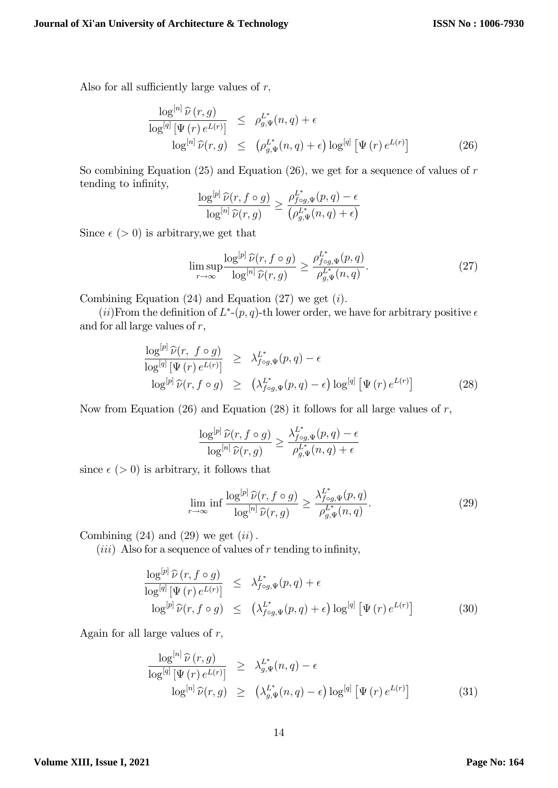Also for all sufficiently large values of  $r$ ,

$$
\frac{\log^{[n]} \widehat{\nu}(r,g)}{\log^{[q]} [\Psi(r) e^{L(r)}]} \leq \rho_{g,\Psi}^{L^*}(n,q) + \epsilon
$$
  

$$
\log^{[n]} \widehat{\nu}(r,g) \leq (\rho_{g,\Psi}^{L^*}(n,q) + \epsilon) \log^{[q]} [\Psi(r) e^{L(r)}]
$$
(26)

So combining Equation (25) and Equation (26), we get for a sequence of values of  $r$ tending to infinity,

$$
\frac{\log^{[p]} \widehat{\nu}(r, f \circ g)}{\log^{[n]} \widehat{\nu}(r, g)} \ge \frac{\rho_{f \circ g, \Psi}^{L^*}(p, q) - \epsilon}{\left(\rho_{g, \Psi}^{L^*}(n, q) + \epsilon\right)}
$$

Since  $\epsilon$  (> 0) is arbitrary, we get that

$$
\limsup_{r \to \infty} \frac{\log^{[p]} \widehat{\nu}(r, f \circ g)}{\log^{[n]} \widehat{\nu}(r, g)} \ge \frac{\rho_{f \circ g, \Psi}^{L^*}(p, q)}{\rho_{g, \Psi}^{L^*}(n, q)}.
$$
\n(27)

Combining Equation  $(24)$  and Equation  $(27)$  we get  $(i)$ .

(*ii*)From the definition of  $L^*(p,q)$ -th lower order, we have for arbitrary positive  $\epsilon$ and for all large values of  $r$ ,

$$
\frac{\log^{[p]} \widehat{\nu}(r, f \circ g)}{\log^{[q]} [\Psi(r) e^{L(r)}]} \geq \lambda_{f \circ g, \Psi}^{L^*}(p, q) - \epsilon
$$
  

$$
\log^{[p]} \widehat{\nu}(r, f \circ g) \geq (\lambda_{f \circ g, \Psi}^{L^*}(p, q) - \epsilon) \log^{[q]} [\Psi(r) e^{L(r)}]
$$
(28)

Now from Equation  $(26)$  and Equation  $(28)$  it follows for all large values of r,

$$
\frac{\log^{[p]} \widehat{\nu}(r, f \circ g)}{\log^{[n]} \widehat{\nu}(r, g)} \ge \frac{\lambda_{f \circ g, \Psi}^{L^*}(p, q) - \epsilon}{\rho_{g, \Psi}^{L^*}(n, q) + \epsilon}
$$

since  $\epsilon$  (> 0) is arbitrary, it follows that

$$
\lim_{r \to \infty} \inf \frac{\log^{[p]} \widehat{\nu}(r, f \circ g)}{\log^{[n]} \widehat{\nu}(r, g)} \ge \frac{\lambda_{f \circ g, \Psi}^{L^*}(p, q)}{\rho_{g, \Psi}^{L^*}(n, q)}.
$$
\n(29)

Combining  $(24)$  and  $(29)$  we get  $(ii)$ .

(*iii*) Also for a sequence of values of  $r$  tending to infinity,

$$
\frac{\log^{[p]}\widehat{\nu}(r, f \circ g)}{\log^{[q]}\left[\Psi(r)\,e^{L(r)}\right]} \leq \lambda_{f \circ g, \Psi}^{L^*}(p, q) + \epsilon
$$
\n
$$
\log^{[p]}\widehat{\nu}(r, f \circ g) \leq \left(\lambda_{f \circ g, \Psi}^{L^*}(p, q) + \epsilon\right) \log^{[q]} \left[\Psi(r)\,e^{L(r)}\right]
$$
\n(30)

Again for all large values of  $r$ ,

$$
\frac{\log^{[n]} \widehat{\nu}(r,g)}{\log^{[q]} [\Psi(r) e^{L(r)}]} \geq \lambda_{g,\Psi}^{L^*}(n,q) - \epsilon
$$
  

$$
\log^{[n]} \widehat{\nu}(r,g) \geq (\lambda_{g,\Psi}^{L^*}(n,q) - \epsilon) \log^{[q]} [\Psi(r) e^{L(r)}]
$$
(31)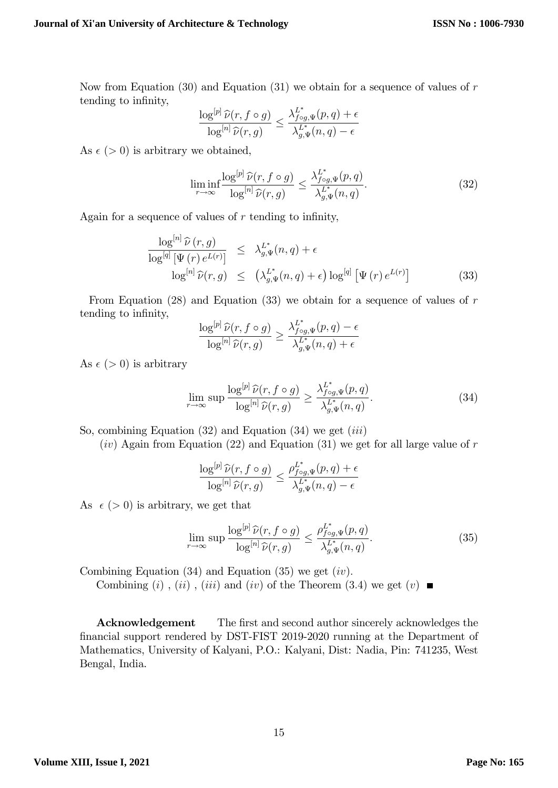Now from Equation (30) and Equation (31) we obtain for a sequence of values of  $r$ tending to infinity,

$$
\frac{\log^{[p]} \widehat{\nu}(r, f \circ g)}{\log^{[n]} \widehat{\nu}(r, g)} \le \frac{\lambda_{f \circ g, \Psi}^{L^*}(p, q) + \epsilon}{\lambda_{g, \Psi}^{L^*}(n, q) - \epsilon}
$$

As  $\epsilon$  (> 0) is arbitrary we obtained,

$$
\liminf_{r \to \infty} \frac{\log^{[p]} \widehat{\nu}(r, f \circ g)}{\log^{[n]} \widehat{\nu}(r, g)} \le \frac{\lambda_{f \circ g, \Psi}^{L^*}(p, q)}{\lambda_{g, \Psi}^{L^*}(n, q)}.
$$
\n(32)

Again for a sequence of values of  $r$  tending to infinity,

$$
\frac{\log^{[n]} \widehat{\nu}(r,g)}{\log^{[q]} [\Psi(r) e^{L(r)}]} \leq \lambda_{g,\Psi}^{L^*}(n,q) + \epsilon
$$
  

$$
\log^{[n]} \widehat{\nu}(r,g) \leq \left(\lambda_{g,\Psi}^{L^*}(n,q) + \epsilon\right) \log^{[q]} [\Psi(r) e^{L(r)}]
$$
(33)

From Equation  $(28)$  and Equation  $(33)$  we obtain for a sequence of values of r tending to infinity,

$$
\frac{\log^{[p]} \widehat{\nu}(r, f \circ g)}{\log^{[n]} \widehat{\nu}(r, g)} \ge \frac{\lambda_{f \circ g, \Psi}^{L^*}(p, q) - \epsilon}{\lambda_{g, \Psi}^{L^*}(n, q) + \epsilon}
$$

As  $\epsilon$  (> 0) is arbitrary

$$
\lim_{r \to \infty} \sup \frac{\log^{[p]} \widehat{\nu}(r, f \circ g)}{\log^{[n]} \widehat{\nu}(r, g)} \ge \frac{\lambda_{f \circ g, \Psi}^{L^*}(p, q)}{\lambda_{g, \Psi}^{L^*}(n, q)}.
$$
\n(34)

So, combining Equation  $(32)$  and Equation  $(34)$  we get  $(iii)$ 

 $(iv)$  Again from Equation (22) and Equation (31) we get for all large value of r

$$
\frac{\log^{[p]} \widehat{\nu}(r, f \circ g)}{\log^{[n]} \widehat{\nu}(r, g)} \leq \frac{\rho_{f \circ g, \Psi}^{L^*}(p, q) + \epsilon}{\lambda_{g, \Psi}^{L^*}(n, q) - \epsilon}
$$

As  $\epsilon$  (> 0) is arbitrary, we get that

$$
\lim_{r \to \infty} \sup \frac{\log^{[p]} \widehat{\nu}(r, f \circ g)}{\log^{[n]} \widehat{\nu}(r, g)} \le \frac{\rho_{f \circ g, \Psi}^{L^*}(p, q)}{\lambda_{g, \Psi}^{L^*}(n, q)}.
$$
\n(35)

Combining Equation  $(34)$  and Equation  $(35)$  we get  $(iv)$ .

Combining (i), (ii), (iii) and (iv) of the Theorem (3.4) we get (v)  $\blacksquare$ 

Acknowledgement The first and second author sincerely acknowledges the financial support rendered by DST-FIST 2019-2020 running at the Department of Mathematics, University of Kalyani, P.O.: Kalyani, Dist: Nadia, Pin: 741235, West Bengal, India.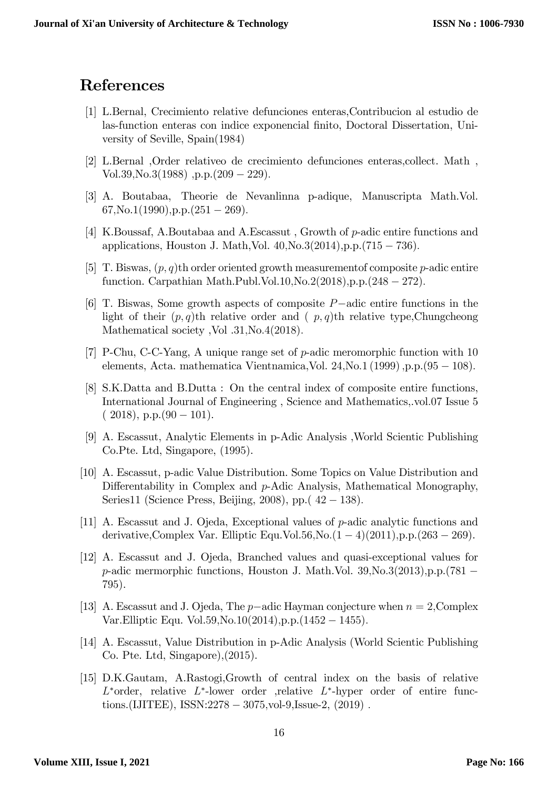### References

- <span id="page-15-9"></span>[1] L.Bernal, Crecimiento relative defunciones enteras,Contribucion al estudio de las-function enteras con indice exponencial Önito, Doctoral Dissertation, University of Seville, Spain(1984)
- <span id="page-15-2"></span>[2] L.Bernal ,Order relativeo de crecimiento defunciones enteras,collect. Math , Vol.39, No.3(1988), p.p.  $(209 - 229)$ .
- <span id="page-15-3"></span>[3] A. Boutabaa, Theorie de Nevanlinna p-adique, Manuscripta Math.Vol.  $67$ , No.1(1990), p.p.(251 - 269).
- <span id="page-15-4"></span>[4] K.Boussaf, A.Boutabaa and A.Escassut , Growth of p-adic entire functions and applications, Houston J. Math, Vol.  $40, No.3(2014), p.p. (715 - 736).$
- <span id="page-15-10"></span>[5] T. Biswas,  $(p, q)$ th order oriented growth measurement of composite p-adic entire function. Carpathian Math.Publ.Vol.10, No.2(2018), p.p.  $(248 - 272)$ .
- <span id="page-15-5"></span>[6] T. Biswas, Some growth aspects of composite  $P$ -adic entire functions in the light of their  $(p, q)$ th relative order and  $(p, q)$ th relative type,Chungcheong Mathematical society , Vol .31, No.4(2018).
- <span id="page-15-8"></span>[7] P-Chu, C-C-Yang, A unique range set of p-adic meromorphic function with 10 elements, Acta. mathematica Vientnamica, Vol. 24, No.1 (1999), p.p.  $(95 - 108)$ .
- <span id="page-15-6"></span>[8] S.K.Datta and B.Dutta : On the central index of composite entire functions, International Journal of Engineering , Science and Mathematics,.vol:07 Issue 5  $(2018)$ , p.p. $(90 - 101)$ .
- <span id="page-15-0"></span>[9] A. Escassut, Analytic Elements in p-Adic Analysis ,World Scientic Publishing Co.Pte. Ltd, Singapore, (1995).
- [10] A. Escassut, p-adic Value Distribution. Some Topics on Value Distribution and Differentability in Complex and  $p$ -Adic Analysis, Mathematical Monography, Series11 (Science Press, Beijing, 2008), pp.  $(42-138)$ .
- <span id="page-15-7"></span>[11] A. Escassut and J. Ojeda, Exceptional values of p-adic analytic functions and derivative, Complex Var. Elliptic Equ.Vol.56, No. $(1-4)(2011)$ , p.p. $(263-269)$ .
- [12] A. Escassut and J. Ojeda, Branched values and quasi-exceptional values for  $p$ -adic mermorphic functions, Houston J. Math.Vol. 39, No. 3(2013), p.p. (781 – 795).
- [13] A. Escassut and J. Ojeda, The  $p$ -adic Hayman conjecture when  $n = 2$ , Complex Var. Elliptic Equ. Vol.  $59$ , No.  $10(2014)$ , p.p.  $(1452 - 1455)$ .
- <span id="page-15-1"></span>[14] A. Escassut, Value Distribution in p-Adic Analysis (World Scientic Publishing Co. Pte. Ltd, Singapore),(2015).
- [15] D.K.Gautam, A.Rastogi,Growth of central index on the basis of relative  $L^*$ order, relative  $L^*$ -lower order ,relative  $L^*$ -hyper order of entire functions.(IJITEE), ISSN: $2278 - 3075$ , vol-9, Issue-2,  $(2019)$ .